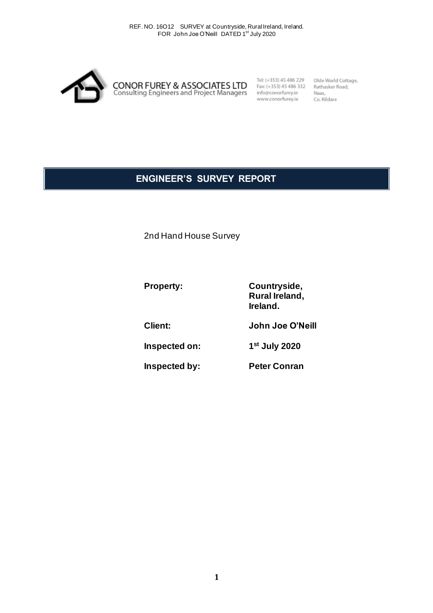

Tel: (+353) 45 486 229 Fax: (+353) 45 486 332 info@conorfurey.ie www.conorfurey.ie

Olde World Cottage, Rathasker Road, Naas, Co. Kildare

# **ENGINEER'S SURVEY REPORT**

2nd Hand House Survey

**Property: Countryside,**

**Ireland. Client: John Joe O'Neill** 

**Rural Ireland,**

**Inspected on: 1 st July 2020**

**Inspected by: Peter Conran**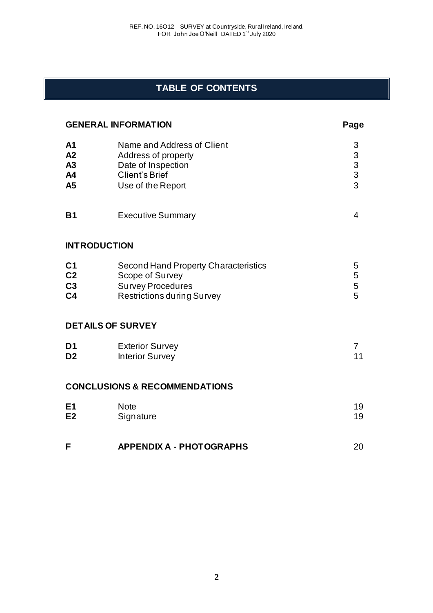# **TABLE OF CONTENTS**

| <b>GENERAL INFORMATION</b>                               |                                                                                                                                 | Page                                            |
|----------------------------------------------------------|---------------------------------------------------------------------------------------------------------------------------------|-------------------------------------------------|
| A <sub>1</sub><br>A2<br>A3<br>A4<br>A5                   | Name and Address of Client<br>Address of property<br>Date of Inspection<br>Client's Brief<br>Use of the Report                  | 3<br>$\begin{array}{c} 3 \\ 3 \\ 3 \end{array}$ |
| <b>B1</b>                                                | <b>Executive Summary</b>                                                                                                        | 4                                               |
|                                                          | <b>INTRODUCTION</b>                                                                                                             |                                                 |
| C <sub>1</sub><br>C <sub>2</sub><br>C3<br>C <sub>4</sub> | <b>Second Hand Property Characteristics</b><br>Scope of Survey<br><b>Survey Procedures</b><br><b>Restrictions during Survey</b> | 5<br>5<br>5<br>5                                |
|                                                          | <b>DETAILS OF SURVEY</b>                                                                                                        |                                                 |
| D <sub>1</sub><br>D <sub>2</sub>                         | <b>Exterior Survey</b><br><b>Interior Survey</b>                                                                                | $\overline{7}$<br>11                            |
|                                                          | <b>CONCLUSIONS &amp; RECOMMENDATIONS</b>                                                                                        |                                                 |
| E <sub>1</sub><br>E2                                     | <b>Note</b><br>Signature                                                                                                        | 19<br>19                                        |
| F                                                        | <b>APPENDIX A - PHOTOGRAPHS</b>                                                                                                 | 20                                              |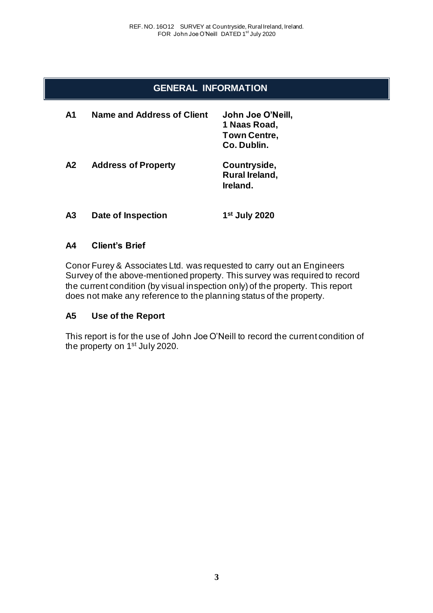## **GENERAL INFORMATION**

| A1             | Name and Address of Client | John Joe O'Neill,<br>1 Naas Road,<br><b>Town Centre.</b><br>Co. Dublin. |
|----------------|----------------------------|-------------------------------------------------------------------------|
| A <sub>2</sub> | <b>Address of Property</b> | Countryside,<br>Rural Ireland,<br>Ireland.                              |
| А3             | Date of Inspection         | 1 <sup>st</sup> July 2020                                               |

## **A4 Client's Brief**

Conor Furey & Associates Ltd. was requested to carry out an Engineers Survey of the above-mentioned property. This survey was required to record the current condition (by visual inspection only) of the property. This report does not make any reference to the planning status of the property.

### **A5 Use of the Report**

This report is for the use of John Joe O'Neill to record the current condition of the property on 1<sup>st</sup> July 2020.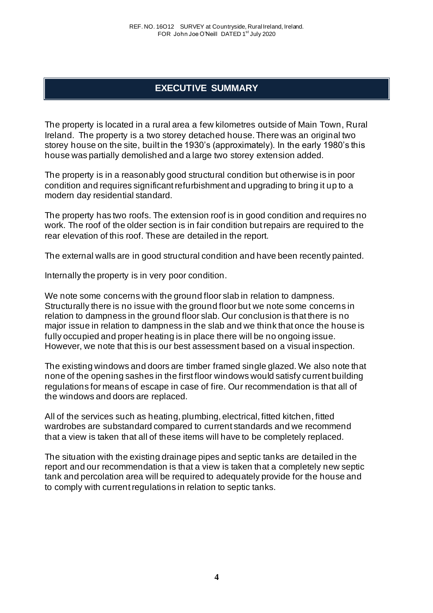# **EXECUTIVE SUMMARY**

The property is located in a rural area a few kilometres outside of Main Town, Rural Ireland. The property is a two storey detached house. There was an original two storey house on the site, built in the 1930's (approximately). In the early 1980's this house was partially demolished and a large two storey extension added.

The property is in a reasonably good structural condition but otherwise is in poor condition and requires significant refurbishment and upgrading to bring it up to a modern day residential standard.

The property has two roofs. The extension roof is in good condition and requires no work. The roof of the older section is in fair condition but repairs are required to the rear elevation of this roof. These are detailed in the report.

The external walls are in good structural condition and have been recently painted.

Internally the property is in very poor condition.

We note some concerns with the ground floor slab in relation to dampness. Structurally there is no issue with the ground floor but we note some concerns in relation to dampness in the ground floor slab. Our conclusion is that there is no major issue in relation to dampness in the slab and we think that once the house is fully occupied and proper heating is in place there will be no ongoing issue. However, we note that this is our best assessment based on a visual inspection.

The existing windows and doors are timber framed single glazed. We also note that none of the opening sashes in the first floor windows would satisfy current building regulations for means of escape in case of fire. Our recommendation is that all of the windows and doors are replaced.

All of the services such as heating, plumbing, electrical, fitted kitchen, fitted wardrobes are substandard compared to current standards and we recommend that a view is taken that all of these items will have to be completely replaced.

The situation with the existing drainage pipes and septic tanks are detailed in the report and our recommendation is that a view is taken that a completely new septic tank and percolation area will be required to adequately provide for the house and to comply with current regulations in relation to septic tanks.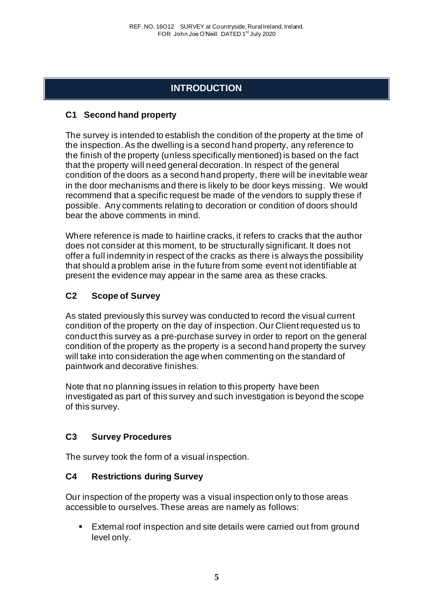# **INTRODUCTION**

## **C1 Second hand property**

The survey is intended to establish the condition of the property at the time of the inspection. As the dwelling is a second hand property, any reference to the finish of the property (unless specifically mentioned) is based on the fact that the property will need general decoration. In respect of the general condition of the doors as a second hand property, there will be inevitable wear in the door mechanisms and there is likely to be door keys missing. We would recommend that a specific request be made of the vendors to supply these if possible. Any comments relating to decoration or condition of doors should bear the above comments in mind.

Where reference is made to hairline cracks, it refers to cracks that the author does not consider at this moment, to be structurally significant. It does not offer a full indemnity in respect of the cracks as there is always the possibility that should a problem arise in the future from some event not identifiable at present the evidence may appear in the same area as these cracks.

## **C2 Scope of Survey**

As stated previously this survey was conducted to record the visual current condition of the property on the day of inspection. Our Client requested us to conduct this survey as a pre-purchase survey in order to report on the general condition of the property as the property is a second hand property the survey will take into consideration the age when commenting on the standard of paintwork and decorative finishes.

Note that no planning issues in relation to this property have been investigated as part of this survey and such investigation is beyond the scope of this survey.

# **C3 Survey Procedures**

The survey took the form of a visual inspection.

## **C4 Restrictions during Survey**

Our inspection of the property was a visual inspection only to those areas accessible to ourselves. These areas are namely as follows:

■ External roof inspection and site details were carried out from ground level only.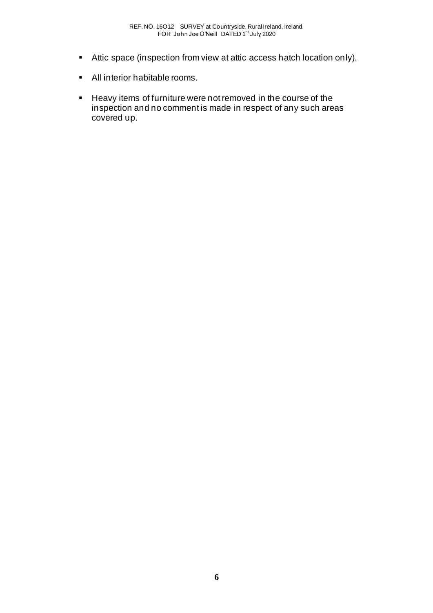- Attic space (inspection from view at attic access hatch location only).
- All interior habitable rooms.
- Heavy items of furniture were not removed in the course of the inspection and no comment is made in respect of any such areas covered up.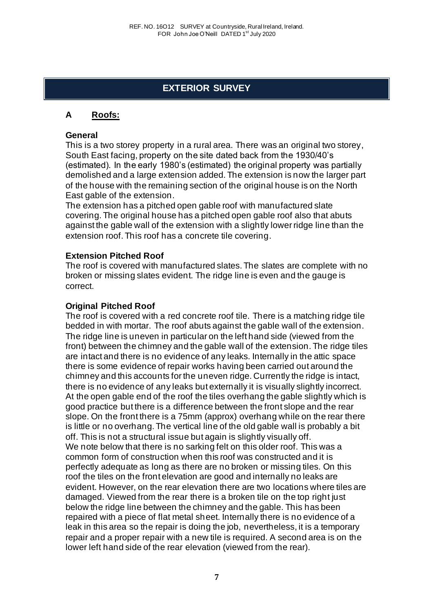# **EXTERIOR SURVEY**

## **A Roofs:**

### **General**

This is a two storey property in a rural area. There was an original two storey, South East facing, property on the site dated back from the 1930/40's (estimated). In the early 1980's (estimated) the original property was partially demolished and a large extension added. The extension is now the larger part of the house with the remaining section of the original house is on the North East gable of the extension.

The extension has a pitched open gable roof with manufactured slate covering. The original house has a pitched open gable roof also that abuts against the gable wall of the extension with a slightly lower ridge line than the extension roof. This roof has a concrete tile covering.

### **Extension Pitched Roof**

The roof is covered with manufactured slates. The slates are complete with no broken or missing slates evident. The ridge line is even and the gauge is correct.

### **Original Pitched Roof**

The roof is covered with a red concrete roof tile. There is a matching ridge tile bedded in with mortar. The roof abuts against the gable wall of the extension. The ridge line is uneven in particular on the left hand side (viewed from the front) between the chimney and the gable wall of the extension. The ridge tiles are intact and there is no evidence of any leaks. Internally in the attic space there is some evidence of repair works having been carried out around the chimney and this accounts for the uneven ridge. Currently the ridge is intact, there is no evidence of any leaks but externally it is visually slightly incorrect. At the open gable end of the roof the tiles overhang the gable slightly which is good practice but there is a difference between the front slope and the rear slope. On the front there is a 75mm (approx) overhang while on the rear there is little or no overhang. The vertical line of the old gable wall is probably a bit off. This is not a structural issue but again is slightly visually off. We note below that there is no sarking felt on this older roof. This was a common form of construction when this roof was constructed and it is perfectly adequate as long as there are no broken or missing tiles. On this roof the tiles on the front elevation are good and internally no leaks are evident. However, on the rear elevation there are two locations where tiles are damaged. Viewed from the rear there is a broken tile on the top right just below the ridge line between the chimney and the gable. This has been repaired with a piece of flat metal sheet. Internally there is no evidence of a leak in this area so the repair is doing the job, nevertheless, it is a temporary repair and a proper repair with a new tile is required. A second area is on the lower left hand side of the rear elevation (viewed from the rear).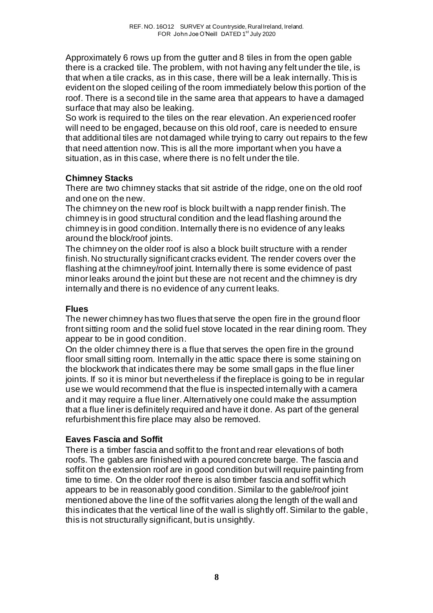Approximately 6 rows up from the gutter and 8 tiles in from the open gable there is a cracked tile. The problem, with not having any felt under the tile, is that when a tile cracks, as in this case, there will be a leak internally. This is evident on the sloped ceiling of the room immediately below this portion of the roof. There is a second tile in the same area that appears to have a damaged surface that may also be leaking.

So work is required to the tiles on the rear elevation. An experienced roofer will need to be engaged, because on this old roof, care is needed to ensure that additional tiles are not damaged while trying to carry out repairs to the few that need attention now. This is all the more important when you have a situation, as in this case, where there is no felt under the tile.

## **Chimney Stacks**

There are two chimney stacks that sit astride of the ridge, one on the old roof and one on the new.

The chimney on the new roof is block built with a napp render finish. The chimney is in good structural condition and the lead flashing around the chimney is in good condition. Internally there is no evidence of any leaks around the block/roof joints.

The chimney on the older roof is also a block built structure with a render finish. No structurally significant cracks evident. The render covers over the flashing at the chimney/roof joint. Internally there is some evidence of past minor leaks around the joint but these are not recent and the chimney is dry internally and there is no evidence of any current leaks.

## **Flues**

The newer chimney has two flues that serve the open fire in the ground floor front sitting room and the solid fuel stove located in the rear dining room. They appear to be in good condition.

On the older chimney there is a flue that serves the open fire in the ground floor small sitting room. Internally in the attic space there is some staining on the blockwork that indicates there may be some small gaps in the flue liner joints. If so it is minor but nevertheless if the fireplace is going to be in regular use we would recommend that the flue is inspected internally with a camera and it may require a flue liner. Alternatively one could make the assumption that a flue liner is definitely required and have it done. As part of the general refurbishment this fire place may also be removed.

# **Eaves Fascia and Soffit**

There is a timber fascia and soffit to the front and rear elevations of both roofs. The gables are finished with a poured concrete barge. The fascia and soffit on the extension roof are in good condition but will require painting from time to time. On the older roof there is also timber fascia and soffit which appears to be in reasonably good condition. Similar to the gable/roof joint mentioned above the line of the soffit varies along the length of the wall and this indicates that the vertical line of the wall is slightly off. Similar to the gable, this is not structurally significant, but is unsightly.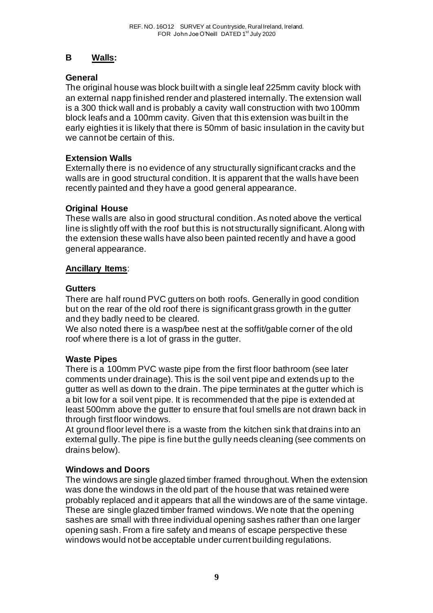## **B Walls:**

## **General**

The original house was block built with a single leaf 225mm cavity block with an external napp finished render and plastered internally. The extension wall is a 300 thick wall and is probably a cavity wall construction with two 100mm block leafs and a 100mm cavity. Given that this extension was built in the early eighties it is likely that there is 50mm of basic insulation in the cavity but we cannot be certain of this.

## **Extension Walls**

Externally there is no evidence of any structurally significant cracks and the walls are in good structural condition. It is apparent that the walls have been recently painted and they have a good general appearance.

## **Original House**

These walls are also in good structural condition. As noted above the vertical line is slightly off with the roof but this is not structurally significant. Along with the extension these walls have also been painted recently and have a good general appearance.

## **Ancillary Items**:

### **Gutters**

There are half round PVC gutters on both roofs. Generally in good condition but on the rear of the old roof there is significant grass growth in the gutter and they badly need to be cleared.

We also noted there is a wasp/bee nest at the soffit/gable corner of the old roof where there is a lot of grass in the gutter.

## **Waste Pipes**

There is a 100mm PVC waste pipe from the first floor bathroom (see later comments under drainage). This is the soil vent pipe and extends up to the gutter as well as down to the drain. The pipe terminates at the gutter which is a bit low for a soil vent pipe. It is recommended that the pipe is extended at least 500mm above the gutter to ensure that foul smells are not drawn back in through first floor windows.

At ground floor level there is a waste from the kitchen sink that drains into an external gully. The pipe is fine but the gully needs cleaning (see comments on drains below).

## **Windows and Doors**

The windows are single glazed timber framed throughout. When the extension was done the windows in the old part of the house that was retained were probably replaced and it appears that all the windows are of the same vintage. These are single glazed timber framed windows. We note that the opening sashes are small with three individual opening sashes rather than one larger opening sash. From a fire safety and means of escape perspective these windows would not be acceptable under current building regulations.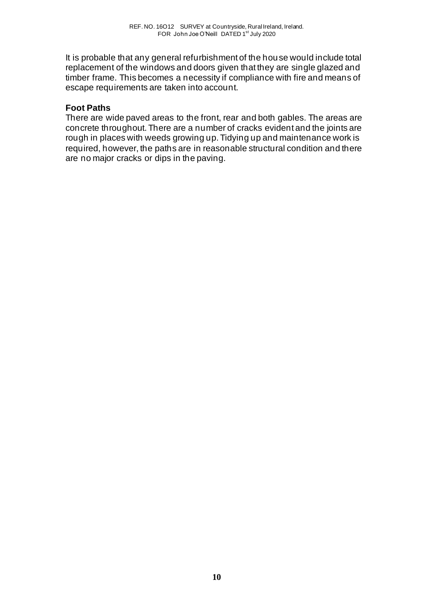It is probable that any general refurbishment of the house would include total replacement of the windows and doors given that they are single glazed and timber frame. This becomes a necessity if compliance with fire and means of escape requirements are taken into account.

## **Foot Paths**

There are wide paved areas to the front, rear and both gables. The areas are concrete throughout. There are a number of cracks evident and the joints are rough in places with weeds growing up. Tidying up and maintenance work is required, however, the paths are in reasonable structural condition and there are no major cracks or dips in the paving.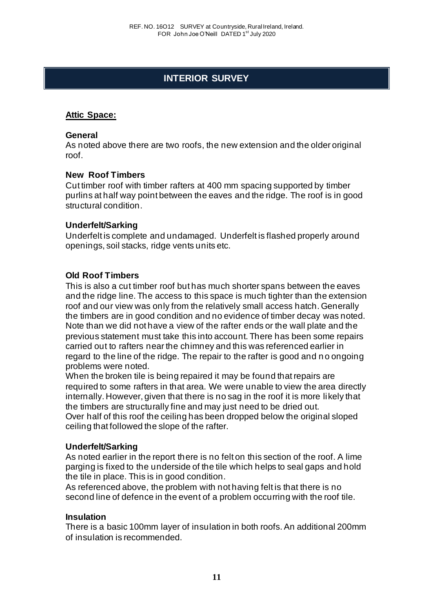# **INTERIOR SURVEY**

## **Attic Space:**

#### **General**

As noted above there are two roofs, the new extension and the older original roof.

#### **New Roof Timbers**

Cut timber roof with timber rafters at 400 mm spacing supported by timber purlins at half way point between the eaves and the ridge. The roof is in good structural condition.

### **Underfelt/Sarking**

Underfelt is complete and undamaged. Underfelt is flashed properly around openings, soil stacks, ridge vents units etc.

### **Old Roof Timbers**

This is also a cut timber roof but has much shorter spans between the eaves and the ridge line. The access to this space is much tighter than the extension roof and our view was only from the relatively small access hatch. Generally the timbers are in good condition and no evidence of timber decay was noted. Note than we did not have a view of the rafter ends or the wall plate and the previous statement must take this into account. There has been some repairs carried out to rafters near the chimney and this was referenced earlier in regard to the line of the ridge. The repair to the rafter is good and n o ongoing problems were noted.

When the broken tile is being repaired it may be found that repairs are required to some rafters in that area. We were unable to view the area directly internally. However, given that there is no sag in the roof it is more likely that the timbers are structurally fine and may just need to be dried out. Over half of this roof the ceiling has been dropped below the original sloped ceiling that followed the slope of the rafter.

#### **Underfelt/Sarking**

As noted earlier in the report there is no felt on this section of the roof. A lime parging is fixed to the underside of the tile which helps to seal gaps and hold the tile in place. This is in good condition.

As referenced above, the problem with not having felt is that there is no second line of defence in the event of a problem occurring with the roof tile.

#### **Insulation**

There is a basic 100mm layer of insulation in both roofs. An additional 200mm of insulation is recommended.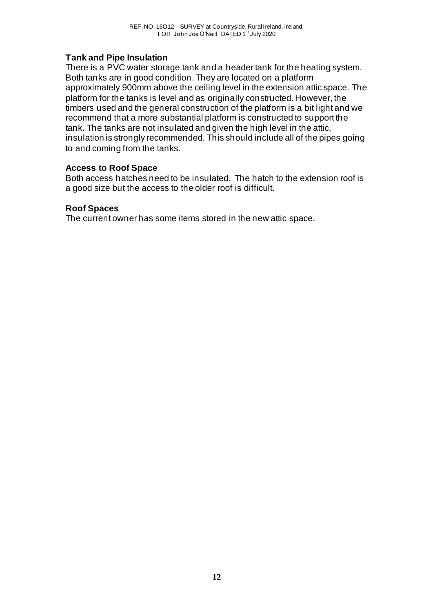## **Tank and Pipe Insulation**

There is a PVC water storage tank and a header tank for the heating system. Both tanks are in good condition. They are located on a platform approximately 900mm above the ceiling level in the extension attic space. The platform for the tanks is level and as originally constructed. However, the timbers used and the general construction of the platform is a bit light and we recommend that a more substantial platform is constructed to support the tank. The tanks are not insulated and given the high level in the attic, insulation is strongly recommended. This should include all of the pipes going to and coming from the tanks.

### **Access to Roof Space**

Both access hatches need to be insulated. The hatch to the extension roof is a good size but the access to the older roof is difficult.

## **Roof Spaces**

The current owner has some items stored in the new attic space.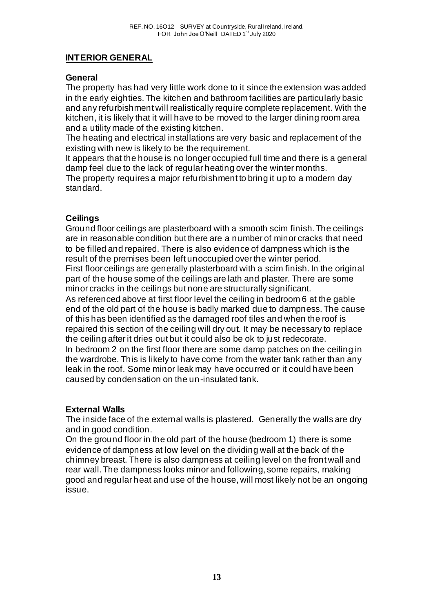# **INTERIOR GENERAL**

## **General**

The property has had very little work done to it since the extension was added in the early eighties. The kitchen and bathroom facilities are particularly basic and any refurbishment will realistically require complete replacement. With the kitchen, it is likely that it will have to be moved to the larger dining room area and a utility made of the existing kitchen.

The heating and electrical installations are very basic and replacement of the existing with new is likely to be the requirement.

It appears that the house is no longer occupied full time and there is a general damp feel due to the lack of regular heating over the winter months. The property requires a major refurbishment to bring it up to a modern day standard.

## **Ceilings**

Ground floor ceilings are plasterboard with a smooth scim finish. The ceilings are in reasonable condition but there are a number of minor cracks that need to be filled and repaired. There is also evidence of dampness which is the result of the premises been left unoccupied over the winter period.

First floor ceilings are generally plasterboard with a scim finish. In the original part of the house some of the ceilings are lath and plaster. There are some minor cracks in the ceilings but none are structurally significant.

As referenced above at first floor level the ceiling in bedroom 6 at the gable end of the old part of the house is badly marked due to dampness. The cause of this has been identified as the damaged roof tiles and when the roof is repaired this section of the ceiling will dry out. It may be necessary to replace the ceiling after it dries out but it could also be ok to just redecorate.

In bedroom 2 on the first floor there are some damp patches on the ceiling in the wardrobe. This is likely to have come from the water tank rather than any leak in the roof. Some minor leak may have occurred or it could have been caused by condensation on the un-insulated tank.

## **External Walls**

The inside face of the external walls is plastered. Generally the walls are dry and in good condition.

On the ground floor in the old part of the house (bedroom 1) there is some evidence of dampness at low level on the dividing wall at the back of the chimney breast. There is also dampness at ceiling level on the front wall and rear wall. The dampness looks minor and following, some repairs, making good and regular heat and use of the house, will most likely not be an ongoing issue.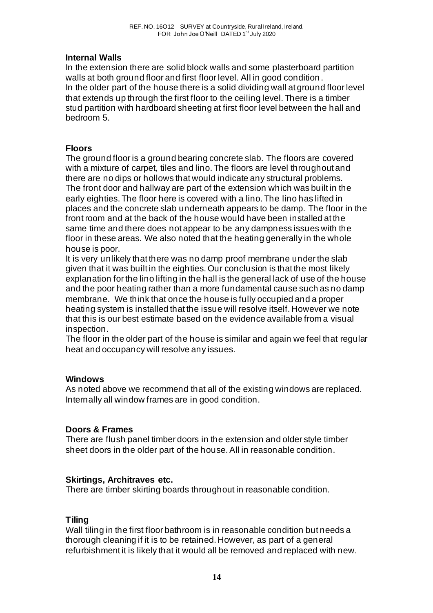## **Internal Walls**

In the extension there are solid block walls and some plasterboard partition walls at both ground floor and first floor level. All in good condition. In the older part of the house there is a solid dividing wall at ground floor level that extends up through the first floor to the ceiling level. There is a timber stud partition with hardboard sheeting at first floor level between the hall and bedroom 5.

## **Floors**

The ground floor is a ground bearing concrete slab. The floors are covered with a mixture of carpet, tiles and lino. The floors are level throughout and there are no dips or hollows that would indicate any structural problems. The front door and hallway are part of the extension which was built in the early eighties. The floor here is covered with a lino. The lino has lifted in places and the concrete slab underneath appears to be damp. The floor in the front room and at the back of the house would have been installed at the same time and there does not appear to be any dampness issues with the floor in these areas. We also noted that the heating generally in the whole house is poor.

It is very unlikely that there was no damp proof membrane under the slab given that it was built in the eighties. Our conclusion is that the most likely explanation for the lino lifting in the hall is the general lack of use of the house and the poor heating rather than a more fundamental cause such as no damp membrane. We think that once the house is fully occupied and a proper heating system is installed that the issue will resolve itself. However we note that this is our best estimate based on the evidence available from a visual inspection.

The floor in the older part of the house is similar and again we feel that regular heat and occupancy will resolve any issues.

### **Windows**

As noted above we recommend that all of the existing windows are replaced. Internally all window frames are in good condition.

### **Doors & Frames**

There are flush panel timber doors in the extension and older style timber sheet doors in the older part of the house. All in reasonable condition.

## **Skirtings, Architraves etc.**

There are timber skirting boards throughout in reasonable condition.

## **Tiling**

Wall tiling in the first floor bathroom is in reasonable condition but needs a thorough cleaning if it is to be retained. However, as part of a general refurbishment it is likely that it would all be removed and replaced with new.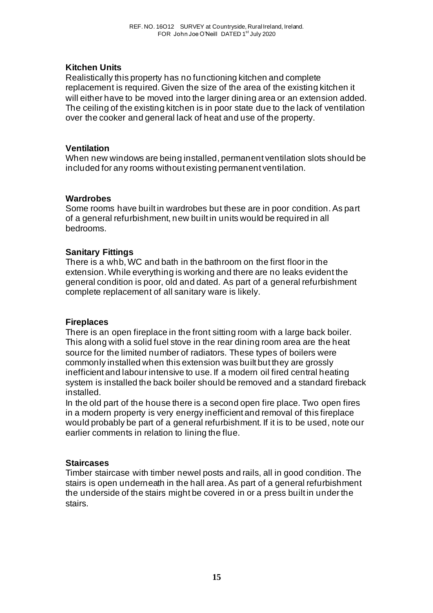## **Kitchen Units**

Realistically this property has no functioning kitchen and complete replacement is required. Given the size of the area of the existing kitchen it will either have to be moved into the larger dining area or an extension added. The ceiling of the existing kitchen is in poor state due to the lack of ventilation over the cooker and general lack of heat and use of the property.

### **Ventilation**

When new windows are being installed, permanent ventilation slots should be included for any rooms without existing permanent ventilation.

### **Wardrobes**

Some rooms have built in wardrobes but these are in poor condition. As part of a general refurbishment, new built in units would be required in all bedrooms.

## **Sanitary Fittings**

There is a whb, WC and bath in the bathroom on the first floor in the extension. While everything is working and there are no leaks evident the general condition is poor, old and dated. As part of a general refurbishment complete replacement of all sanitary ware is likely.

### **Fireplaces**

There is an open fireplace in the front sitting room with a large back boiler. This along with a solid fuel stove in the rear dining room area are the heat source for the limited number of radiators. These types of boilers were commonly installed when this extension was built but they are grossly inefficient and labour intensive to use. If a modern oil fired central heating system is installed the back boiler should be removed and a standard fireback installed.

In the old part of the house there is a second open fire place. Two open fires in a modern property is very energy inefficient and removal of this fireplace would probably be part of a general refurbishment. If it is to be used, note our earlier comments in relation to lining the flue.

#### **Staircases**

Timber staircase with timber newel posts and rails, all in good condition. The stairs is open underneath in the hall area. As part of a general refurbishment the underside of the stairs might be covered in or a press built in under the stairs.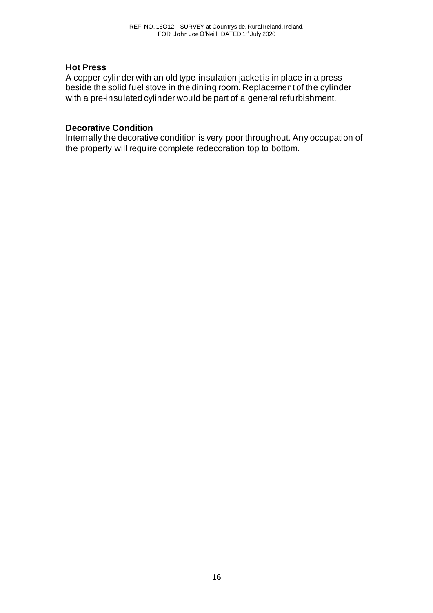#### **Hot Press**

A copper cylinder with an old type insulation jacket is in place in a press beside the solid fuel stove in the dining room. Replacement of the cylinder with a pre-insulated cylinder would be part of a general refurbishment.

#### **Decorative Condition**

Internally the decorative condition is very poor throughout. Any occupation of the property will require complete redecoration top to bottom.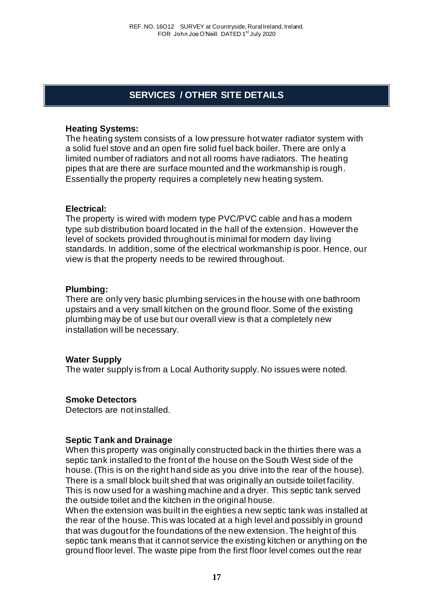# **SERVICES / OTHER SITE DETAILS**

### **Heating Systems:**

The heating system consists of a low pressure hot water radiator system with a solid fuel stove and an open fire solid fuel back boiler. There are only a limited number of radiators and not all rooms have radiators. The heating pipes that are there are surface mounted and the workmanship is rough. Essentially the property requires a completely new heating system.

#### **Electrical:**

The property is wired with modern type PVC/PVC cable and has a modern type sub distribution board located in the hall of the extension. However the level of sockets provided throughout is minimal for modern day living standards. In addition, some of the electrical workmanship is poor. Hence, our view is that the property needs to be rewired throughout.

#### **Plumbing:**

There are only very basic plumbing services in the house with one bathroom upstairs and a very small kitchen on the ground floor. Some of the existing plumbing may be of use but our overall view is that a completely new installation will be necessary.

### **Water Supply**

The water supply is from a Local Authority supply. No issues were noted.

### **Smoke Detectors**

Detectors are not installed.

### **Septic Tank and Drainage**

When this property was originally constructed back in the thirties there was a septic tank installed to the front of the house on the South West side of the house. (This is on the right hand side as you drive into the rear of the house). There is a small block built shed that was originally an outside toilet facility. This is now used for a washing machine and a dryer. This septic tank served the outside toilet and the kitchen in the original house.

When the extension was built in the eighties a new septic tank was installed at the rear of the house. This was located at a high level and possibly in ground that was dugout for the foundations of the new extension. The height of this septic tank means that it cannot service the existing kitchen or anything on the ground floor level. The waste pipe from the first floor level comes out the rear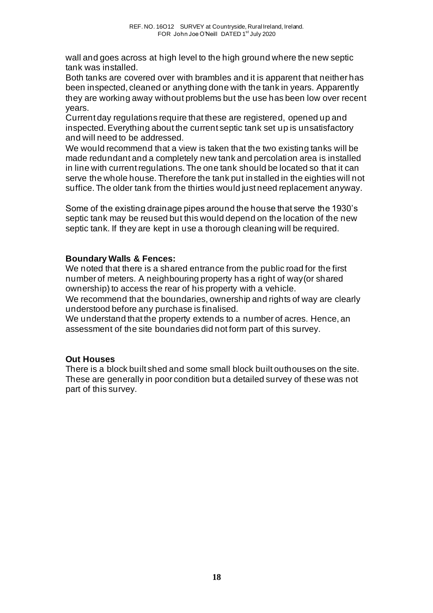wall and goes across at high level to the high ground where the new septic tank was installed.

Both tanks are covered over with brambles and it is apparent that neither has been inspected, cleaned or anything done with the tank in years. Apparently they are working away without problems but the use has been low over recent years.

Current day regulations require that these are registered, opened up and inspected. Everything about the current septic tank set up is unsatisfactory and will need to be addressed.

We would recommend that a view is taken that the two existing tanks will be made redundant and a completely new tank and percolation area is installed in line with current regulations. The one tank should be located so that it can serve the whole house. Therefore the tank put installed in the eighties will not suffice. The older tank from the thirties would just need replacement anyway.

Some of the existing drainage pipes around the house that serve the 1930's septic tank may be reused but this would depend on the location of the new septic tank. If they are kept in use a thorough cleaning will be required.

## **Boundary Walls & Fences:**

We noted that there is a shared entrance from the public road for the first number of meters. A neighbouring property has a right of way(or shared ownership) to access the rear of his property with a vehicle.

We recommend that the boundaries, ownership and rights of way are clearly understood before any purchase is finalised.

We understand that the property extends to a number of acres. Hence, an assessment of the site boundaries did not form part of this survey.

## **Out Houses**

There is a block built shed and some small block built outhouses on the site. These are generally in poor condition but a detailed survey of these was not part of this survey.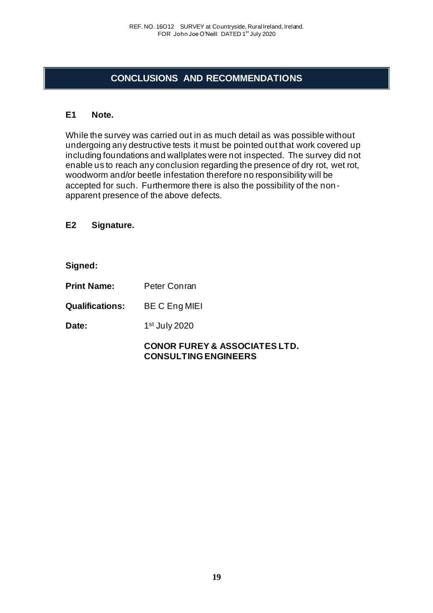# **CONCLUSIONS AND RECOMMENDATIONS**

## **E1 Note.**

While the survey was carried out in as much detail as was possible without undergoing any destructive tests it must be pointed out that work covered up including foundations and wallplates were not inspected. The survey did not enable us to reach any conclusion regarding the presence of dry rot, wet rot, woodworm and/or beetle infestation therefore no responsibility will be accepted for such. Furthermore there is also the possibility of the non apparent presence of the above defects.

**E2 Signature.**

**Signed:**

**Print Name:** Peter Conran

**Qualifications:** BE C Eng MIEI

Date: 1st July 2020

## **CONOR FUREY & ASSOCIATES LTD. CONSULTING ENGINEERS**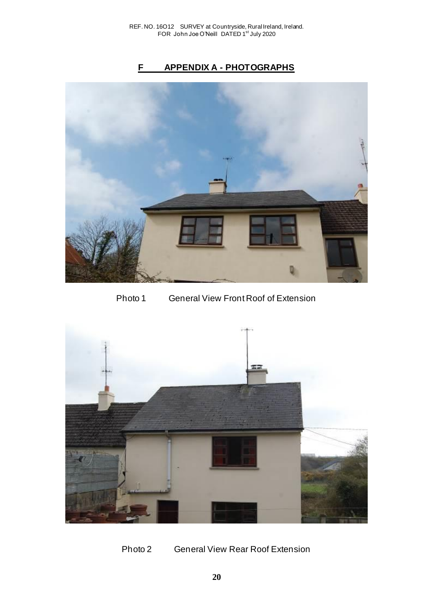# **F APPENDIX A - PHOTOGRAPHS**



Photo 1 General View Front Roof of Extension



Photo 2 General View Rear Roof Extension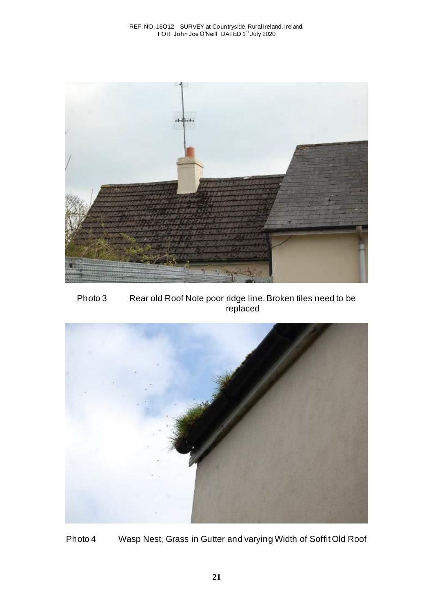

Photo 3 Rear old Roof Note poor ridge line. Broken tiles need to be replaced



Photo 4 Wasp Nest, Grass in Gutter and varying Width of Soffit Old Roof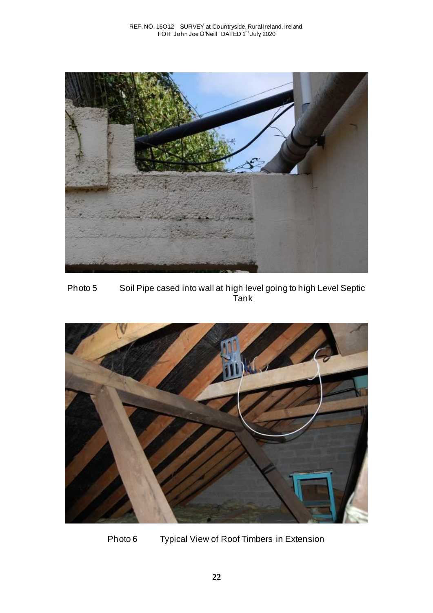

Photo 5 Soil Pipe cased into wall at high level going to high Level Septic Tank



Photo 6 Typical View of Roof Timbers in Extension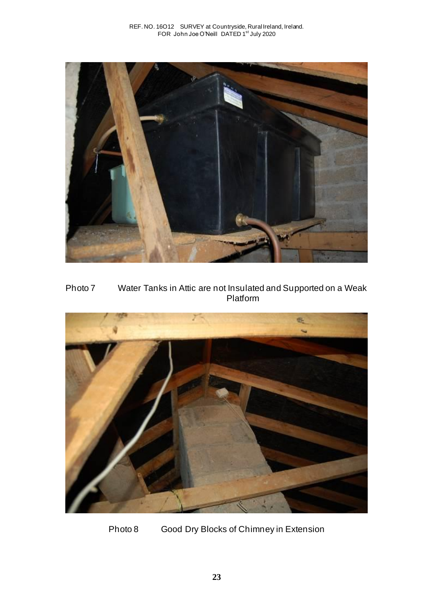

Photo 7 Water Tanks in Attic are not Insulated and Supported on a Weak Platform



Photo 8 Good Dry Blocks of Chimney in Extension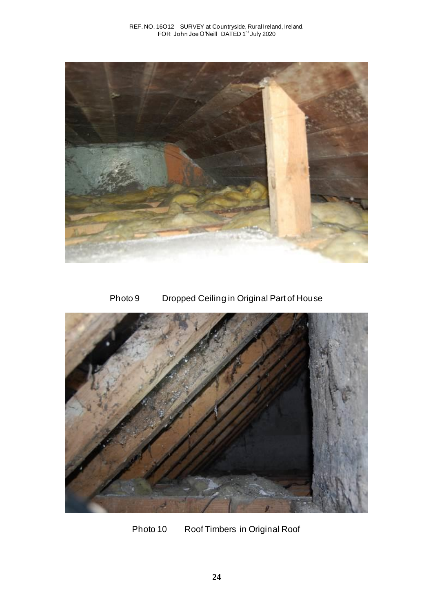

# Photo 9 Dropped Ceiling in Original Part of House



Photo 10 Roof Timbers in Original Roof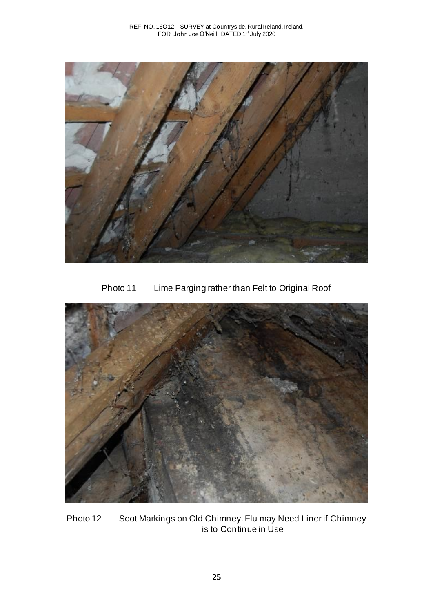

Photo 11 Lime Parging rather than Felt to Original Roof



Photo 12 Soot Markings on Old Chimney. Flu may Need Liner if Chimney is to Continue in Use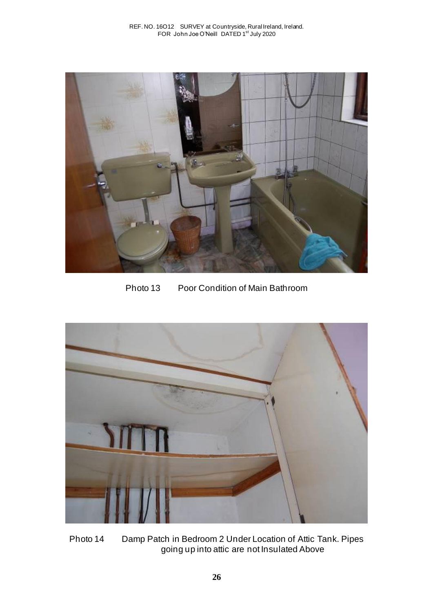

Photo 13 Poor Condition of Main Bathroom



Photo 14 Damp Patch in Bedroom 2 Under Location of Attic Tank. Pipes going up into attic are not Insulated Above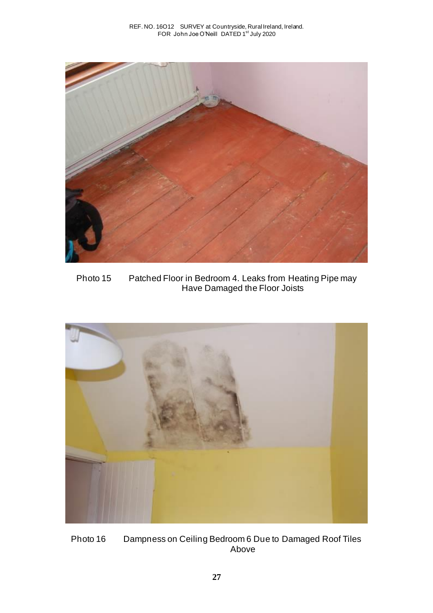

Photo 15 Patched Floor in Bedroom 4. Leaks from Heating Pipe may Have Damaged the Floor Joists



Photo 16 Dampness on Ceiling Bedroom 6 Due to Damaged Roof Tiles Above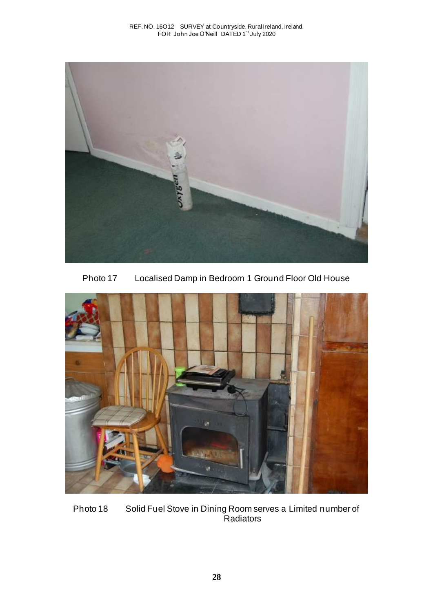

Photo 17 Localised Damp in Bedroom 1 Ground Floor Old House



Photo 18 Solid Fuel Stove in Dining Room serves a Limited number of Radiators